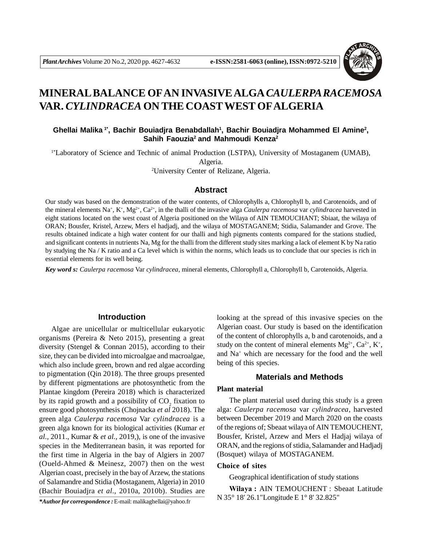

# **MINERAL BALANCE OFAN INVASIVE ALGA***CAULERPA RACEMOSA* **VAR.** *CYLINDRACEA* **ON THE COASTWEST OFALGERIA**

# **Ghellai Malika 1\*, Bachir Bouiadjra Benabdallah<sup>1</sup> , Bachir Bouiadjra Mohammed El Amine<sup>2</sup> , Sahih Faouzia<sup>2</sup>and Mahmoudi Kenza<sup>2</sup>**

1\*Laboratory of Science and Technic of animal Production (LSTPA), University of Mostaganem (UMAB), Algeria.

<sup>2</sup>University Center of Relizane, Algeria.

## **Abstract**

Our study was based on the demonstration of the water contents, of Chlorophylls a, Chlorophyll b, and Carotenoids, and of the mineral elements Na<sup>+</sup>, K<sup>+</sup>, Mg<sup>2+</sup>, Ca<sup>2+</sup>, in the thalli of the invasive alga *Caulerpa racemosa* var *cylindracea* harvested in eight stations located on the west coast of Algeria positioned on the Wilaya of AIN TEMOUCHANT; Sbiaat, the wilaya of ORAN; Bousfer, Kristel, Arzew, Mers el hadjadj, and the wilaya of MOSTAGANEM; Stidia, Salamander and Grove. The results obtained indicate a high water content for our thalli and high pigments contents compared for the stations studied, and significant contents in nutrients Na, Mg for the thalli from the different study sites marking a lack of element K by Na ratio by studying the Na / K ratio and a Ca level which is within the norms, which leads us to conclude that our species is rich in essential elements for its well being.

*Key word s: Caulerpa racemosa* Var *cylindracea*, mineral elements, Chlorophyll a, Chlorophyll b, Carotenoids, Algeria.

## **Introduction**

Algae are unicellular or multicellular eukaryotic organisms (Pereira & Neto 2015), presenting a great diversity (Stengel & Connan 2015), according to their size, they can be divided into microalgae and macroalgae, which also include green, brown and red algae according to pigmentation (Qin 2018). The three groups presented by different pigmentations are photosynthetic from the Plantae kingdom (Pereira 2018) which is characterized by its rapid growth and a possibility of  $CO_2$  fixation to ensure good photosynthesis (Chojnacka *et al* 2018). The green alga *Caulerpa racemosa* Var *cylindracea* is a green alga known for its biological activities (Kumar *et al.,* 2011., Kumar & *et al.,* 2019,), is one of the invasive species in the Mediterranean basin, it was reported for the first time in Algeria in the bay of Algiers in 2007 (Oueld-Ahmed & Meinesz, 2007) then on the west Algerian coast, precisely in the bay of Arzew, the stations of Salamandre and Stidia (Mostaganem, Algeria) in 2010 (Bachir Bouiadjra *et al.,* 2010a, 2010b). Studies are

looking at the spread of this invasive species on the Algerian coast. Our study is based on the identification of the content of chlorophylls a, b and carotenoids, and a study on the content of mineral elements  $Mg^{2+}$ ,  $Ca^{2+}$ ,  $K^+$ , and Na<sup>+</sup> which are necessary for the food and the well being of this species.

# **Materials and Methods**

#### **Plant material**

The plant material used during this study is a green alga: *Caulerpa racemosa* var *cylindracea*, harvested between December 2019 and March 2020 on the coasts of the regions of; Sbeaat wilaya of AIN TEMOUCHENT, Bousfer, Kristel, Arzew and Mers el Hadjaj wilaya of ORAN, and the regions of stidia, Salamander and Hadjadj (Bosquet) wilaya of MOSTAGANEM.

## **Choice of sites**

Geographical identification of study stations

**Wilaya :** AIN TEMOUCHENT : Sbeaat Latitude N 35° 18' 26.1"Longitude E 1° 8' 32.825"

*\*Author for correspondence :* E-mail: malikaghellai@yahoo.fr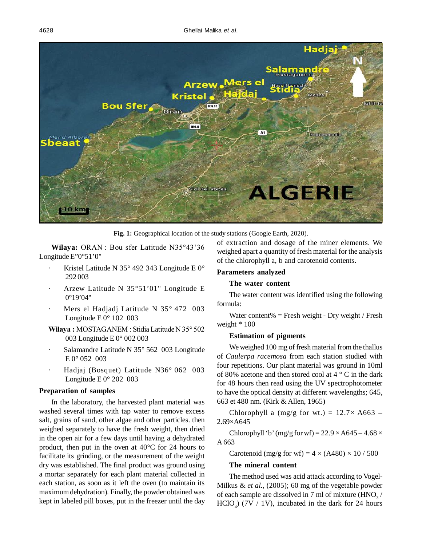

Fig. 1: Geographical location of the study stations (Google Earth, 2020).

**Wilaya:** ORAN : Bou sfer Latitude N35°43'36 Longitude E"0°51'0"

- Kristel Latitude N 35 $\degree$  492 343 Longitude E 0 $\degree$ 292 003
- · Arzew Latitude N 35°51'01" Longitude E 0°19'04"
- Mers el Hadjadj Latitude N 35° 472 003 Longitude E 0° 102 003
- **Wilaya :** MOSTAGANEM : Stidia Latitude N 35° 502 003 Longitude E 0° 002 003
- Salamandre Latitude N 35° 562 003 Longitude  $E 0^{\circ} 052 003$
- · Hadjaj (Bosquet) Latitude N36° 062 003 Longitude E 0° 202 003

#### **Preparation of samples**

In the laboratory, the harvested plant material was washed several times with tap water to remove excess salt, grains of sand, other algae and other particles. then weighed separately to have the fresh weight, then dried in the open air for a few days until having a dehydrated product, then put in the oven at 40°C for 24 hours to facilitate its grinding, or the measurement of the weight dry was established. The final product was ground using a mortar separately for each plant material collected in each station, as soon as it left the oven (to maintain its maximum dehydration). Finally, the powder obtained was kept in labeled pill boxes, put in the freezer until the day

of extraction and dosage of the miner elements. We weighed apart a quantity of fresh material for the analysis of the chlorophyll a, b and carotenoid contents.

# **Parameters analyzed**

#### **The water content**

The water content was identified using the following formula:

Water content% = Fresh weight - Dry weight / Fresh weight \* 100

## **Estimation of pigments**

We weighed 100 mg of fresh material from the thallus of *Caulerpa racemosa* from each station studied with four repetitions. Our plant material was ground in 10ml of 80% acetone and then stored cool at 4 ° C in the dark for 48 hours then read using the UV spectrophotometer to have the optical density at different wavelengths; 645, 663 et 480 nm. (Kirk & Allen, 1965)

Chlorophyll a (mg/g for wt.) =  $12.7 \times A663$  – 2.69×A645

Chlorophyll 'b' (mg/g for wf) =  $22.9 \times A645 - 4.68 \times$ A 663

Carotenoid (mg/g for wf) =  $4 \times (A480) \times 10 / 500$ 

#### **The mineral content**

The method used was acid attack according to Vogel-Milkus & *et al.,* (2005); 60 mg of the vegetable powder of each sample are dissolved in 7 ml of mixture  $(HNO<sub>3</sub>/$  $HClO<sub>4</sub>$  (7V / 1V), incubated in the dark for 24 hours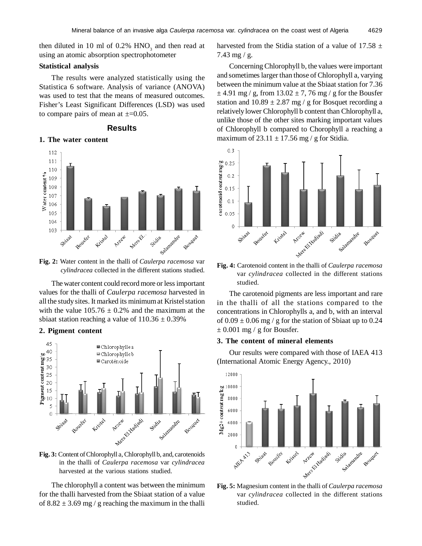then diluted in 10 ml of  $0.2\%$  HNO<sub>3</sub> and then read at using an atomic absorption spectrophotometer

## **Statistical analysis**

The results were analyzed statistically using the Statistica 6 software. Analysis of variance (ANOVA) was used to test that the means of measured outcomes. Fisher's Least Significant Differences (LSD) was used to compare pairs of mean at  $\pm=0.05$ .

## **Results**

#### **1. The water content**



**Fig. 2:** Water content in the thalli of *Caulerpa racemosa* var *cylindracea* collected in the different stations studied.

The water content could record more or less important values for the thalli of *Caulerpa racemosa* harvested in all the study sites. It marked its minimum at Kristel station with the value  $105.76 \pm 0.2\%$  and the maximum at the sbiaat station reaching a value of  $110.36 \pm 0.39\%$ 

### **2. Pigment content**



**Fig. 3:** Content of Chlorophyll a, Chlorophyll b, and, carotenoids in the thalli of *Caulerpa racemosa* var *cylindracea* harvested at the various stations studied.

The chlorophyll a content was between the minimum for the thalli harvested from the Sbiaat station of a value of  $8.82 \pm 3.69$  mg / g reaching the maximum in the thalli

harvested from the Stidia station of a value of 17.58  $\pm$ 7.43 mg / g.

Concerning Chlorophyll b, the values were important and sometimes larger than those of Chlorophyll a, varying between the minimum value at the Sbiaat station for 7.36  $\pm$  4.91 mg / g, from 13.02  $\pm$  7, 76 mg / g for the Bousfer station and  $10.89 \pm 2.87$  mg / g for Bosquet recording a relatively lower Chlorophyll b content than Chlorophyll a, unlike those of the other sites marking important values of Chlorophyll b compared to Chorophyll a reaching a maximum of  $23.11 \pm 17.56$  mg / g for Stidia.



var *cylindracea* collected in the different stations studied.

The carotenoid pigments are less important and rare in the thalli of all the stations compared to the concentrations in Chlorophylls a, and b, with an interval of  $0.09 \pm 0.06$  mg / g for the station of Sbiaat up to 0.24  $\pm$  0.001 mg / g for Bousfer.

## **3. The content of mineral elements**

Our results were compared with those of IAEA 413 (International Atomic Energy Agency., 2010)



var *cylindracea* collected in the different stations studied.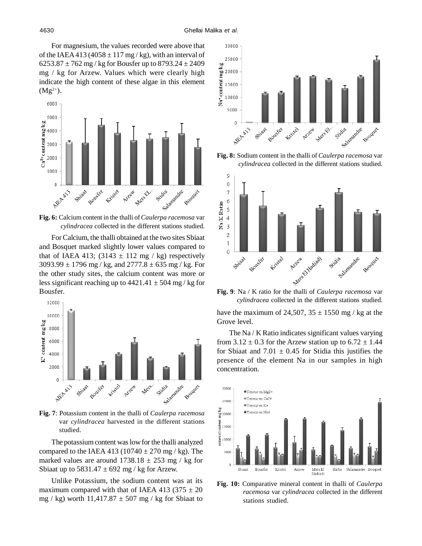For magnesium, the values recorded were above that of the IAEA 413 (4058  $\pm$  117 mg / kg), with an interval of 6253.87  $\pm$  762 mg / kg for Bousfer up to 8793.24  $\pm$  2409 mg / kg for Arzew. Values which were clearly high indicate the high content of these algae in this element  $(Mg^{2+}).$ 



**Fig. 6:** Calcium content in the thalli of *Caulerpa racemosa* var *cylindracea* collected in the different stations studied.

For Calcium, the thalli obtained at the two sites Sbiaat and Bosquet marked slightly lower values compared to that of IAEA 413; (3143  $\pm$  112 mg / kg) respectively  $3093.99 \pm 1796$  mg / kg, and  $2777.8 \pm 635$  mg / kg. For the other study sites, the calcium content was more or less significant reaching up to  $4421.41 \pm 504$  mg/kg for Bousfer.



**Fig. 7**: Potassium content in the thalli of *Caulerpa racemosa* var *cylindracea* harvested in the different stations studied.

The potassium content was low for the thalli analyzed compared to the IAEA 413 (10740  $\pm$  270 mg / kg). The marked values are around  $1738.18 \pm 253$  mg / kg for Sbiaat up to  $5831.47 \pm 692$  mg / kg for Arzew.

Unlike Potassium, the sodium content was at its maximum compared with that of IAEA 413 (375  $\pm$  20 mg / kg) worth  $11,417.87 \pm 507$  mg / kg for Sbiaat to



**Fig. 8:** Sodium content in the thalli of *Caulerpa racemosa* var *cylindracea* collected in the different stations studied.



*cylindracea* collected in the different stations studied.

have the maximum of 24,507,  $35 \pm 1550$  mg / kg at the Grove level.

The Na / K Ratio indicates significant values varying from  $3.12 \pm 0.3$  for the Arzew station up to  $6.72 \pm 1.44$ for Sbiaat and  $7.01 \pm 0.45$  for Stidia this justifies the presence of the element Na in our samples in high concentration.



**Fig. 10:** Comparative mineral content in thalli of *Caulerpa racemosa* var *cylindracea* collected in the different stations studied.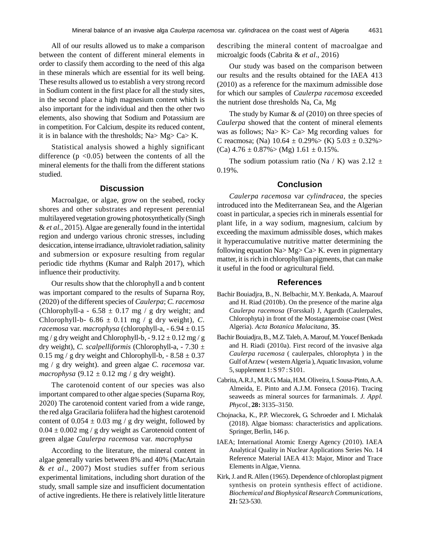All of our results allowed us to make a comparison between the content of different mineral elements in order to classify them according to the need of this alga in these minerals which are essential for its well being. These results allowed us to establish a very strong record in Sodium content in the first place for all the study sites, in the second place a high magnesium content which is also important for the individual and then the other two elements, also showing that Sodium and Potassium are in competition. For Calcium, despite its reduced content, it is in balance with the thresholds; Na> Mg> Ca> K.

Statistical analysis showed a highly significant difference  $(p \lt 0.05)$  between the contents of all the mineral elements for the thalli from the different stations studied.

## **Discussion**

Macroalgae, or algae, grow on the seabed, rocky shores and other substrates and represent perennial multilayered vegetation growing photosynthetically (Singh & *et al.,* 2015). Algae are generally found in the intertidal region and undergo various chronic stresses, including desiccation, intense irradiance, ultraviolet radiation, salinity and submersion or exposure resulting from regular periodic tide rhythms (Kumar and Ralph 2017), which influence their productivity.

Our results show that the chlorophyll a and b content was important compared to the results of Suparna Roy, (2020) of the different species of *Caulerpa*; *C. racemosa* (Chlorophyll-a -  $6.58 \pm 0.17$  mg / g dry weight; and Chlorophyll-b-  $6.86 \pm 0.11$  mg / g dry weight), *C*. *racemosa* var. *macrophysa* (chlorophyll-a, - 6.94 ± 0.15 mg / g dry weight and Chlorophyll-b,  $-9.12 \pm 0.12$  mg / g dry weight), *C. scalpelliformis* (Chlorophyll-a, - 7.30 ± 0.15 mg / g dry weight and Chlorophyll-b,  $-8.58 \pm 0.37$ mg / g dry weight). and green algae *C. racemosa* var. *macrophysa*  $(9.12 \pm 0.12 \text{ mg} / \text{g} \text{ dry weight})$ .

The carotenoid content of our species was also important compared to other algae species (Suparna Roy, 2020) The carotenoid content varied from a wide range, the red alga Gracilaria foliifera had the highest carotenoid content of  $0.054 \pm 0.03$  mg / g dry weight, followed by  $0.04 \pm 0.002$  mg / g dry weight as Carotenoid content of green algae *Caulerpa racemosa* var. *macrophysa*

According to the literature, the mineral content in algae generally varies between 8% and 40% (MacArtain & *et al*., 2007) Most studies suffer from serious experimental limitations, including short duration of the study, small sample size and insufficient documentation of active ingredients. He there is relatively little literature describing the mineral content of macroalgae and microalgic foods (Cabrita & *et al*., 2016)

Our study was based on the comparison between our results and the results obtained for the IAEA 413 (2010) as a reference for the maximum admissible dose for which our samples of *Caulerpa racemosa* exceeded the nutrient dose thresholds Na, Ca, Mg

The study by Kumar & *al* (2010) on three species of *Caulerpa* showed that the content of mineral elements was as follows; Na> K> Ca> Mg recording values for C reacmosa; (Na)  $10.64 \pm 0.29\%$  (K)  $5.03 \pm 0.32\%$  $(Ca)$  4.76  $\pm$  0.87% > (Mg) 1.61  $\pm$  0.15%.

The sodium potassium ratio (Na / K) was 2.12  $\pm$ 0.19%.

## **Conclusion**

*Caulerpa racemosa* var *cylindracea,* the species introduced into the Mediterranean Sea, and the Algerian coast in particular, a species rich in minerals essential for plant life, in a way sodium, magnesium, calcium by exceeding the maximum admissible doses, which makes it hyperaccumulative nutritive matter determining the following equation Na> Mg> Ca> K. even in pigmentary matter, it is rich in chlorophyllian pigments, that can make it useful in the food or agricultural field.

## **References**

- Bachir Bouiadjra, B., N. Belbachir, M.Y. Benkada, A. Maarouf and H. Riad (2010b). On the presence of the marine alga *Caulerpa racemosa* (Forsskal) J, Agardh (Caulerpales, Chlorophyta) in front of the Mostaganemoise coast (West Algeria). *Acta Botanica Malacitana*, **35**.
- Bachir Bouiadjra, B., M.Z. Taleb, A. Marouf, M. Youcef Benkada and H. Riadi (2010a). First record of the invasive alga *Caulerpa racemosa* ( caulerpales, chlorophyta ) in the Gulf of Arzew ( western Algeria ), Aquatic Invasion, volume 5, supplement 1: S 97 : S101.
- Cabrita, A.R.J., M.R.G. Maia, H.M. Oliveira, I. Sousa-Pinto, A.A. Almeida, E. Pinto and A.J.M. Fonseca (2016). Tracing seaweeds as mineral sources for farmanimals. *J. Appl. Phycol.*, **28:** 3135–3150.
- Chojnacka, K., P.P. Wieczorek, G. Schroeder and I. Michalak (2018). Algae biomass: characteristics and applications. Springer, Berlin, 146 p.
- IAEA; International Atomic Energy Agency (2010). IAEA Analytical Quality in Nuclear Applications Series No. 14 Reference Material IAEA 413: Major, Minor and Trace Elements in Algae, Vienna.
- Kirk, J. and R. Allen (1965). Dependence of chloroplast pigment synthesis on protein synthesis effect of actidione. *Biochemical and Biophysical Research Communications*, **21:** 523-530.